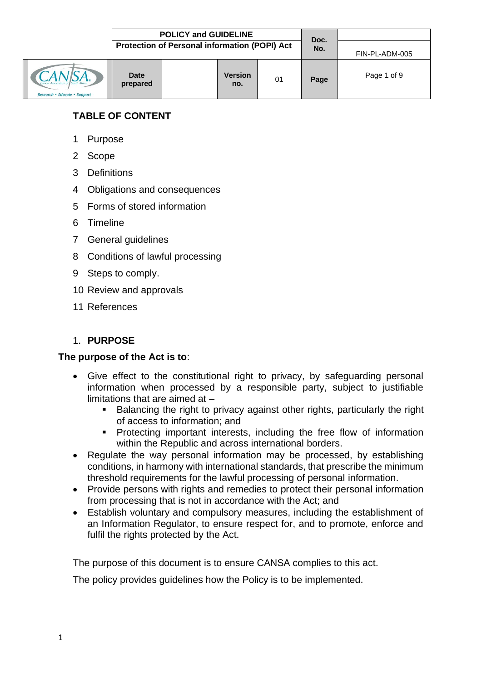|                              |                         | <b>POLICY and GUIDELINE</b>                   | Doc.                  |    |                |             |
|------------------------------|-------------------------|-----------------------------------------------|-----------------------|----|----------------|-------------|
|                              |                         | Protection of Personal information (POPI) Act |                       |    | FIN-PL-ADM-005 |             |
| Research • Educate • Support | <b>Date</b><br>prepared |                                               | <b>Version</b><br>no. | 01 | Page           | Page 1 of 9 |

## **TABLE OF CONTENT**

- 1 Purpose
- 2 Scope
- 3 Definitions
- 4 Obligations and consequences
- 5 Forms of stored information
- 6 Timeline
- 7 General guidelines
- 8 Conditions of lawful processing
- 9 Steps to comply.
- 10 Review and approvals
- 11 References

### 1. **PURPOSE**

#### **The purpose of the Act is to**:

- Give effect to the constitutional right to privacy, by safeguarding personal information when processed by a responsible party, subject to justifiable limitations that are aimed at –
	- Balancing the right to privacy against other rights, particularly the right of access to information; and
	- **•** Protecting important interests, including the free flow of information within the Republic and across international borders.
- Regulate the way personal information may be processed, by establishing conditions, in harmony with international standards, that prescribe the minimum threshold requirements for the lawful processing of personal information.
- Provide persons with rights and remedies to protect their personal information from processing that is not in accordance with the Act; and
- Establish voluntary and compulsory measures, including the establishment of an Information Regulator, to ensure respect for, and to promote, enforce and fulfil the rights protected by the Act.

The purpose of this document is to ensure CANSA complies to this act.

The policy provides guidelines how the Policy is to be implemented.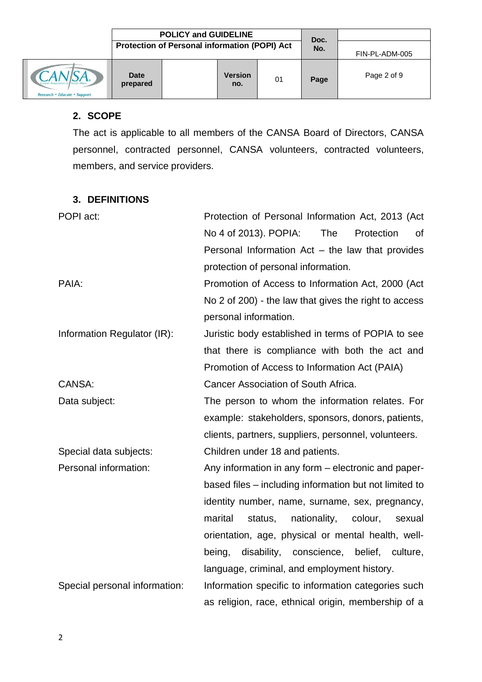|                                    | <b>POLICY and GUIDELINE</b> |                                                      |                       |    |             |                |
|------------------------------------|-----------------------------|------------------------------------------------------|-----------------------|----|-------------|----------------|
|                                    |                             | <b>Protection of Personal information (POPI) Act</b> |                       |    | Doc.<br>No. | FIN-PL-ADM-005 |
| A.<br><i><u><b>iupport</b></u></i> | Date<br>prepared            |                                                      | <b>Version</b><br>no. | 01 | Page        | Page 2 of 9    |

#### **2. SCOPE**

The act is applicable to all members of the CANSA Board of Directors, CANSA personnel, contracted personnel, CANSA volunteers, contracted volunteers, members, and service providers.

#### **3. DEFINITIONS**

| POPI act:<br>Protection of Personal Information Act, 2013 (Act |                                                         |  |  |  |  |
|----------------------------------------------------------------|---------------------------------------------------------|--|--|--|--|
|                                                                | The<br>No 4 of 2013). POPIA:<br>Protection<br>οf        |  |  |  |  |
|                                                                | Personal Information $Act - the law that provides$      |  |  |  |  |
|                                                                | protection of personal information.                     |  |  |  |  |
| PAIA:                                                          | Promotion of Access to Information Act, 2000 (Act       |  |  |  |  |
|                                                                | No 2 of 200) - the law that gives the right to access   |  |  |  |  |
|                                                                | personal information.                                   |  |  |  |  |
| Information Regulator (IR):                                    | Juristic body established in terms of POPIA to see      |  |  |  |  |
|                                                                | that there is compliance with both the act and          |  |  |  |  |
|                                                                | Promotion of Access to Information Act (PAIA)           |  |  |  |  |
| CANSA:                                                         | Cancer Association of South Africa.                     |  |  |  |  |
| Data subject:                                                  | The person to whom the information relates. For         |  |  |  |  |
|                                                                | example: stakeholders, sponsors, donors, patients,      |  |  |  |  |
|                                                                | clients, partners, suppliers, personnel, volunteers.    |  |  |  |  |
| Special data subjects:                                         | Children under 18 and patients.                         |  |  |  |  |
| Personal information:                                          | Any information in any form - electronic and paper-     |  |  |  |  |
|                                                                | based files – including information but not limited to  |  |  |  |  |
|                                                                | identity number, name, surname, sex, pregnancy,         |  |  |  |  |
|                                                                | marital<br>status,<br>nationality,<br>colour,<br>sexual |  |  |  |  |
|                                                                | orientation, age, physical or mental health, well-      |  |  |  |  |
|                                                                | disability, conscience, belief, culture,<br>being,      |  |  |  |  |
|                                                                | language, criminal, and employment history.             |  |  |  |  |
| Special personal information:                                  | Information specific to information categories such     |  |  |  |  |
|                                                                | as religion, race, ethnical origin, membership of a     |  |  |  |  |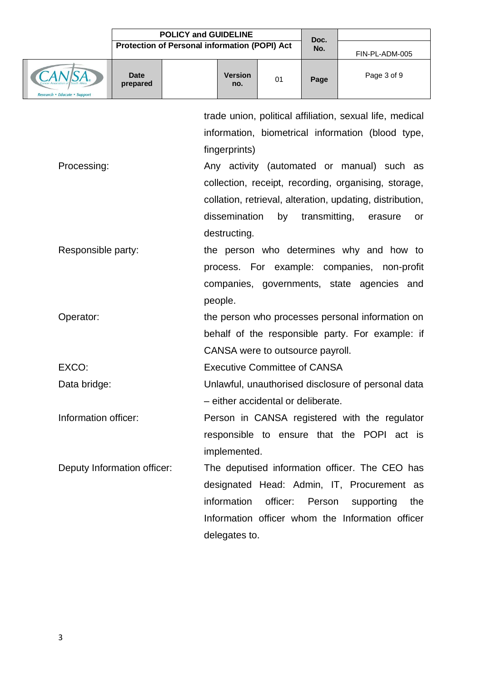**POLICY** and GUIDELINE

| и<br>. . |  |
|----------|--|
|          |  |
|          |  |

|                              |                             | Protection of Personal information (POPI) Act | טע.<br>No. | FIN-PL-ADM-005 |                                                                                                                                                                                                                                                                                                   |
|------------------------------|-----------------------------|-----------------------------------------------|------------|----------------|---------------------------------------------------------------------------------------------------------------------------------------------------------------------------------------------------------------------------------------------------------------------------------------------------|
| Research • Educate • Support | <b>Date</b><br>prepared     | <b>Version</b><br>no.                         | 01         | Page           | Page 3 of 9                                                                                                                                                                                                                                                                                       |
| Processing:                  |                             | fingerprints)<br>dissemination                | by         | transmitting,  | trade union, political affiliation, sexual life, medical<br>information, biometrical information (blood type,<br>Any activity (automated or manual) such as<br>collection, receipt, recording, organising, storage,<br>collation, retrieval, alteration, updating, distribution,<br>erasure<br>or |
| Responsible party:           |                             | destructing.<br>people.                       |            |                | the person who determines why and how to<br>process. For example: companies, non-profit<br>companies, governments, state agencies and                                                                                                                                                             |
| Operator:                    |                             | CANSA were to outsource payroll.              |            |                | the person who processes personal information on<br>behalf of the responsible party. For example: if                                                                                                                                                                                              |
| EXCO:                        |                             | <b>Executive Committee of CANSA</b>           |            |                |                                                                                                                                                                                                                                                                                                   |
| Data bridge:                 |                             | - either accidental or deliberate.            |            |                | Unlawful, unauthorised disclosure of personal data                                                                                                                                                                                                                                                |
| Information officer:         |                             | implemented.                                  |            |                | Person in CANSA registered with the regulator<br>responsible to ensure that the POPI act is                                                                                                                                                                                                       |
|                              | Deputy Information officer: | information<br>delegates to.                  | officer:   | Person         | The deputised information officer. The CEO has<br>designated Head: Admin, IT, Procurement as<br>supporting<br>the<br>Information officer whom the Information officer                                                                                                                             |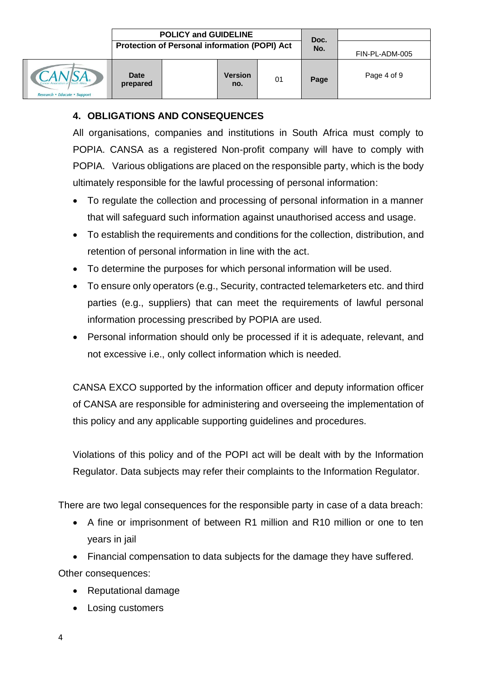|                              | <b>POLICY and GUIDELINE</b><br>Protection of Personal information (POPI) Act |  |                       |    | Doc.<br>No. | FIN-PL-ADM-005 |
|------------------------------|------------------------------------------------------------------------------|--|-----------------------|----|-------------|----------------|
| $\mathbf{L}$ ®<br><b>ort</b> | <b>Date</b><br>prepared                                                      |  | <b>Version</b><br>no. | 01 | Page        | Page 4 of 9    |

# **4. OBLIGATIONS AND CONSEQUENCES**

All organisations, companies and institutions in South Africa must comply to POPIA. CANSA as a registered Non-profit company will have to comply with POPIA. Various obligations are placed on the responsible party, which is the body ultimately responsible for the lawful processing of personal information:

- To regulate the collection and processing of personal information in a manner that will safeguard such information against unauthorised access and usage.
- To establish the requirements and conditions for the collection, distribution, and retention of personal information in line with the act.
- To determine the purposes for which personal information will be used.
- To ensure only operators (e.g., Security, contracted telemarketers etc. and third parties (e.g., suppliers) that can meet the requirements of lawful personal information processing prescribed by POPIA are used.
- Personal information should only be processed if it is adequate, relevant, and not excessive i.e., only collect information which is needed.

CANSA EXCO supported by the information officer and deputy information officer of CANSA are responsible for administering and overseeing the implementation of this policy and any applicable supporting guidelines and procedures.

Violations of this policy and of the POPI act will be dealt with by the Information Regulator. Data subjects may refer their complaints to the Information Regulator.

There are two legal consequences for the responsible party in case of a data breach:

- A fine or imprisonment of between R1 million and R10 million or one to ten years in jail
- Financial compensation to data subjects for the damage they have suffered.

Other consequences:

- Reputational damage
- Losing customers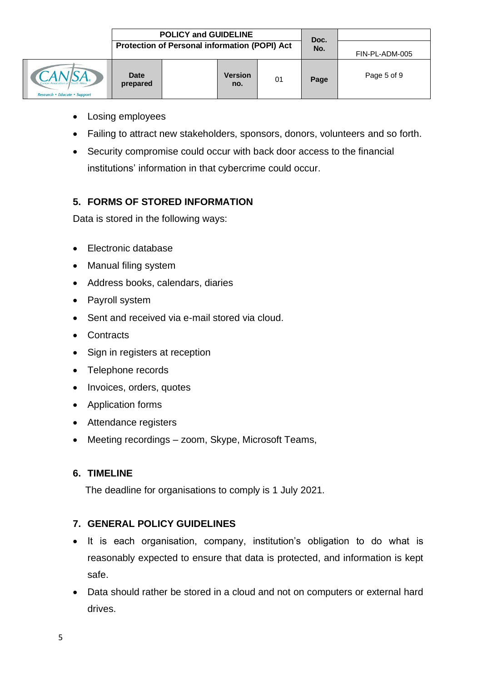|                     | <b>POLICY and GUIDELINE</b><br>Protection of Personal information (POPI) Act |  |                       |    | Doc.<br>No. | FIN-PL-ADM-005 |
|---------------------|------------------------------------------------------------------------------|--|-----------------------|----|-------------|----------------|
| A<br><b>Support</b> | <b>Date</b><br>prepared                                                      |  | <b>Version</b><br>no. | 01 | Page        | Page 5 of 9    |

- Losing employees
- Failing to attract new stakeholders, sponsors, donors, volunteers and so forth.
- Security compromise could occur with back door access to the financial institutions' information in that cybercrime could occur.

### **5. FORMS OF STORED INFORMATION**

Data is stored in the following ways:

- Electronic database
- Manual filing system
- Address books, calendars, diaries
- Payroll system
- Sent and received via e-mail stored via cloud.
- Contracts
- Sign in registers at reception
- Telephone records
- Invoices, orders, quotes
- Application forms
- Attendance registers
- Meeting recordings zoom, Skype, Microsoft Teams,

### **6. TIMELINE**

The deadline for organisations to comply is 1 July 2021.

## **7. GENERAL POLICY GUIDELINES**

- It is each organisation, company, institution's obligation to do what is reasonably expected to ensure that data is protected, and information is kept safe.
- Data should rather be stored in a cloud and not on computers or external hard drives.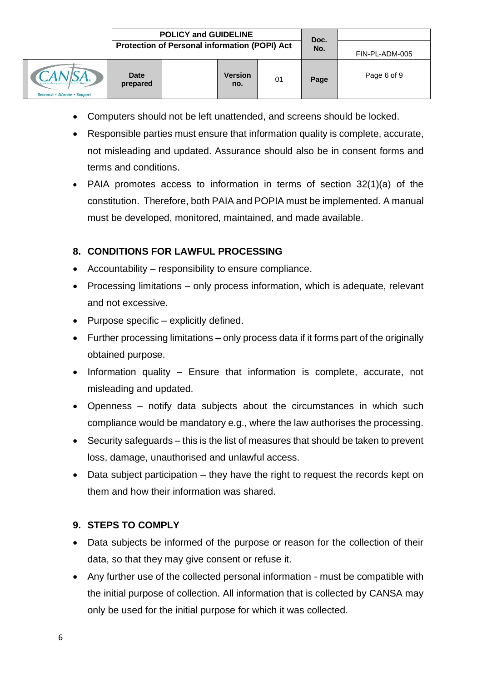- Computers should not be left unattended, and screens should be locked.
- Responsible parties must ensure that information quality is complete, accurate, not misleading and updated. Assurance should also be in consent forms and terms and conditions.
- PAIA promotes access to information in terms of section 32(1)(a) of the constitution. Therefore, both PAIA and POPIA must be implemented. A manual must be developed, monitored, maintained, and made available.

# **8. CONDITIONS FOR LAWFUL PROCESSING**

- Accountability responsibility to ensure compliance.
- Processing limitations only process information, which is adequate, relevant and not excessive.
- Purpose specific explicitly defined.
- Further processing limitations only process data if it forms part of the originally obtained purpose.
- Information quality Ensure that information is complete, accurate, not misleading and updated.
- Openness notify data subjects about the circumstances in which such compliance would be mandatory e.g., where the law authorises the processing.
- Security safeguards this is the list of measures that should be taken to prevent loss, damage, unauthorised and unlawful access.
- Data subject participation they have the right to request the records kept on them and how their information was shared.

## **9. STEPS TO COMPLY**

- Data subjects be informed of the purpose or reason for the collection of their data, so that they may give consent or refuse it.
- Any further use of the collected personal information must be compatible with the initial purpose of collection. All information that is collected by CANSA may only be used for the initial purpose for which it was collected.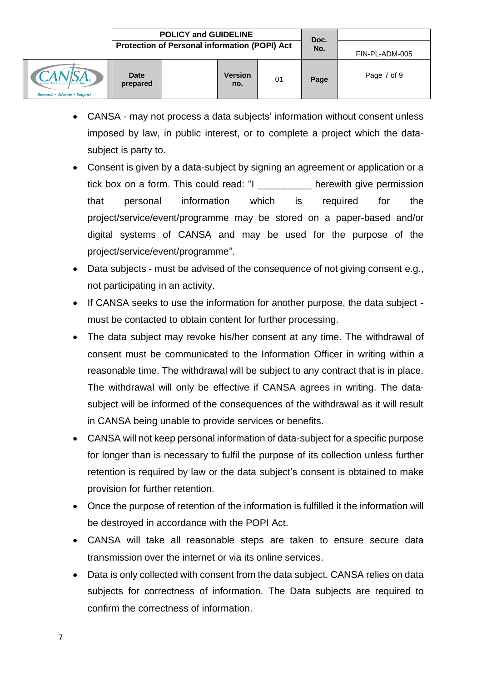

• CANSA - may not process a data subjects' information without consent unless imposed by law, in public interest, or to complete a project which the datasubject is party to.

**no.**

- Consent is given by a data-subject by signing an agreement or application or a tick box on a form. This could read: "I example 1 are herewith give permission that personal information which is required for the project/service/event/programme may be stored on a paper-based and/or digital systems of CANSA and may be used for the purpose of the project/service/event/programme".
- Data subjects must be advised of the consequence of not giving consent e.g., not participating in an activity.
- If CANSA seeks to use the information for another purpose, the data subject must be contacted to obtain content for further processing.
- The data subject may revoke his/her consent at any time. The withdrawal of consent must be communicated to the Information Officer in writing within a reasonable time. The withdrawal will be subject to any contract that is in place. The withdrawal will only be effective if CANSA agrees in writing. The datasubject will be informed of the consequences of the withdrawal as it will result in CANSA being unable to provide services or benefits.
- CANSA will not keep personal information of data-subject for a specific purpose for longer than is necessary to fulfil the purpose of its collection unless further retention is required by law or the data subject's consent is obtained to make provision for further retention.
- Once the purpose of retention of the information is fulfilled it the information will be destroyed in accordance with the POPI Act.
- CANSA will take all reasonable steps are taken to ensure secure data transmission over the internet or via its online services.
- Data is only collected with consent from the data subject. CANSA relies on data subjects for correctness of information. The Data subjects are required to confirm the correctness of information.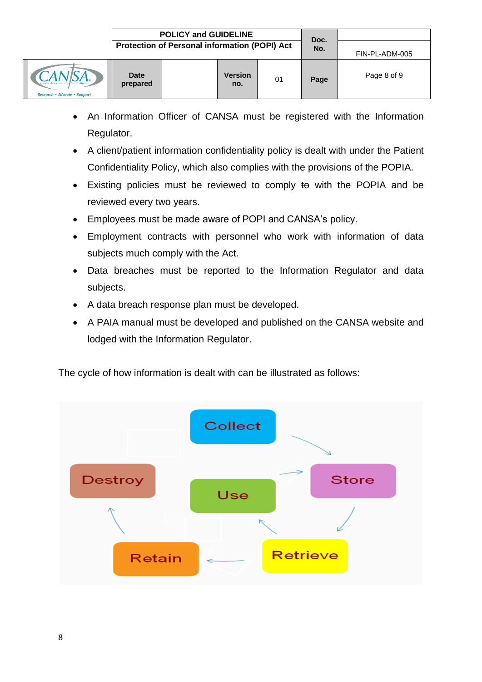- An Information Officer of CANSA must be registered with the Information Regulator.
- A client/patient information confidentiality policy is dealt with under the Patient Confidentiality Policy, which also complies with the provisions of the POPIA.
- Existing policies must be reviewed to comply to with the POPIA and be reviewed every two years.
- Employees must be made aware of POPI and CANSA's policy.
- Employment contracts with personnel who work with information of data subjects much comply with the Act.
- Data breaches must be reported to the Information Regulator and data subjects.
- A data breach response plan must be developed.
- A PAIA manual must be developed and published on the CANSA website and lodged with the Information Regulator.

The cycle of how information is dealt with can be illustrated as follows: